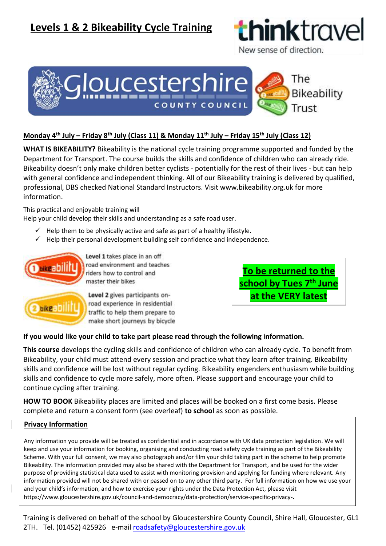## **Levels 1 & 2 Bikeability Cycle Training**



New sense of direction.



### **Monday 4 th July – Friday 8th July (Class 11) & Monday 11th July – Friday 15th July (Class 12)**

**WHAT IS BIKEABILITY?** Bikeability is the national cycle training programme supported and funded by the Department for Transport. The course builds the skills and confidence of children who can already ride. Bikeability doesn't only make children better cyclists - potentially for the rest of their lives - but can help with general confidence and independent thinking. All of our Bikeability training is delivered by qualified, professional, DBS checked National Standard Instructors. Visit www.bikeability.org.uk for more information.

This practical and enjoyable training will

Help your child develop their skills and understanding as a safe road user.

- $\checkmark$  Help them to be physically active and safe as part of a healthy lifestyle.
- $\checkmark$  Help their personal development building self confidence and independence.



riders how to control and master their bikes Level 2 gives participants onroad experience in residential

**To be returned to the school by Tues 7 th June at the VERY latest**

# make short journeys by bicycle

#### **If you would like your child to take part please read through the following information.**

**This course** develops the cycling skills and confidence of children who can already cycle. To benefit from Bikeability, your child must attend every session and practice what they learn after training. Bikeability skills and confidence will be lost without regular cycling. Bikeability engenders enthusiasm while building skills and confidence to cycle more safely, more often. Please support and encourage your child to continue cycling after training.

**HOW TO BOOK** Bikeability places are limited and places will be booked on a first come basis. Please complete and return a consent form (see overleaf) **to school** as soon as possible.

#### **Privacy Information**

Any information you provide will be treated as confidential and in accordance with UK data protection legislation. We will keep and use your information for booking, organising and conducting road safety cycle training as part of the Bikeability Scheme. With your full consent, we may also photograph and/or film your child taking part in the scheme to help promote Bikeability. The information provided may also be shared with the Department for Transport, and be used for the wider purpose of providing statistical data used to assist with monitoring provision and applying for funding where relevant. Any information provided will not be shared with or passed on to any other third party. For full information on how we use your and your child's information, and how to exercise your rights under the Data Protection Act, please visit https://www.gloucestershire.gov.uk/council-and-democracy/data-protection/service-specific-privacy-.

Training is delivered on behalf of the school by Gloucestershire County Council, Shire Hall, Gloucester, GL1 2TH. Tel. (01452) 425926e-mail [roadsafety@gloucestershire.gov.uk](mailto:roadsafety@gloucestershire.gov.uk)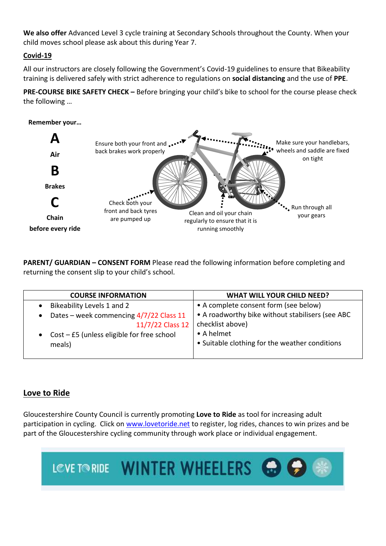**We also offer** Advanced Level 3 cycle training at Secondary Schools throughout the County. When your child moves school please ask about this during Year 7.

### **Covid-19**

All our instructors are closely following the Government's Covid-19 guidelines to ensure that Bikeability training is delivered safely with strict adherence to regulations on **social distancing** and the use of **PPE**.

**PRE-COURSE BIKE SAFETY CHECK –** Before bringing your child's bike to school for the course please check the following …



**PARENT/ GUARDIAN – CONSENT FORM** Please read the following information before completing and returning the consent slip to your child's school.

| <b>COURSE INFORMATION</b>                      | <b>WHAT WILL YOUR CHILD NEED?</b>                |
|------------------------------------------------|--------------------------------------------------|
| • Bikeability Levels 1 and 2                   | • A complete consent form (see below)            |
| • Dates – week commencing $4/7/22$ Class 11    | • A roadworthy bike without stabilisers (see ABC |
| 11/7/22 Class 12                               | checklist above)                                 |
| • Cost $-$ £5 (unless eligible for free school | • A helmet                                       |
| meals)                                         | • Suitable clothing for the weather conditions   |
|                                                |                                                  |

## **Love to Ride**

Gloucestershire County Council is currently promoting **Love to Ride** as tool for increasing adult participation in cycling. Click on [www.lovetoride.net](http://www.lovetoride.net/) to register, log rides, chances to win prizes and be part of the Gloucestershire cycling community through work place or individual engagement.

LOVE TO RIDE WINTER WHEELERS & C